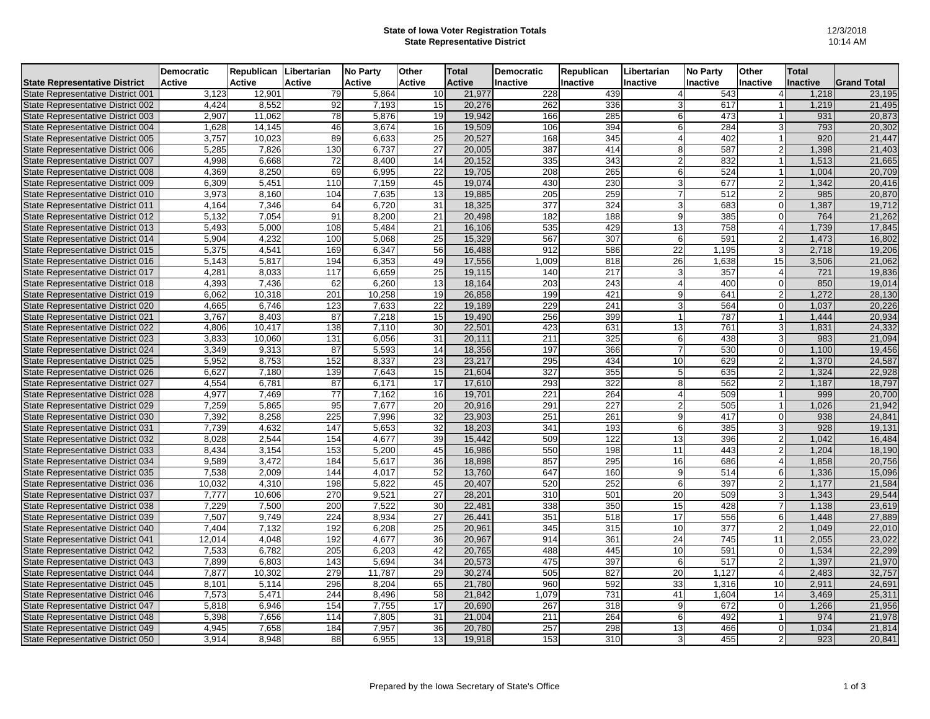## **State of Iowa Voter Registration Totals State Representative District**

|                                          | <b>Democratic</b> | <b>Republican</b> | Libertarian   | <b>No Party</b> | <b>Other</b>    | <b>Total</b>  | Democratic      | <b>Republican</b> | Libertarian     | <b>No Party</b> | <b>Other</b>    | <b>Total</b>    |                    |
|------------------------------------------|-------------------|-------------------|---------------|-----------------|-----------------|---------------|-----------------|-------------------|-----------------|-----------------|-----------------|-----------------|--------------------|
| <b>State Representative District</b>     | <b>Active</b>     | <b>Active</b>     | <b>Active</b> | <b>Active</b>   | <b>Active</b>   | <b>Active</b> | <b>Inactive</b> | Inactive          | Inactive        | <b>Inactive</b> | <b>Inactive</b> | <b>Inactive</b> | <b>Grand Total</b> |
| State Representative District 001        | 3,123             | 12,901            | 79            | 5,864           | 10              | 21,977        | 228             | 439               |                 | 543             |                 | 1,218           | 23,195             |
| State Representative District 002        | 4,424             | 8,552             | 92            | 7,193           | 15              | 20,276        | 262             | 336               |                 | 617             |                 | 1,219           | 21,495             |
| State Representative District 003        | 2,907             | 11,062            | 78            | 5,876           | 19              | 19,942        | 166             | 285               | 6               | 473             |                 | 931             | 20,873             |
| State Representative District 004        | 1,628             | 14,145            | 46            | 3,674           | 16              | 19,509        | 106             | 394               | 6               | 284             |                 | 793             | 20,302             |
| State Representative District 005        | 3,757             | 10,023            | 89            | 6,633           | 25              | 20,527        | 168             | 345               |                 | 402             |                 | 920             | 21,447             |
| State Representative District 006        | 5,285             | 7,826             | 130           | 6,737           | 27              | 20,005        | 387             | 414               | 8               | 587             | $\mathfrak{p}$  | 1,398           | 21,403             |
| State Representative District 007        | 4,998             | 6,668             | 72            | 8,400           | 14              | 20,152        | 335             | 343               | $\overline{2}$  | 832             |                 | 1,513           | 21,665             |
| State Representative District 008        | 4,369             | 8,250             | 69            | 6,995           | 22              | 19,705        | 208             | 265               | 6               | 524             |                 | 1,004           | 20,709             |
| State Representative District 009        | 6,309             | 5,451             | 110           | 7,159           | 45              | 19,074        | 430             | 230               |                 | 677             |                 | 1,342           | 20,416             |
| State Representative District 010        | 3,973             | 8,160             | 104           | 7,635           | 13              | 19,885        | 205             | 259               |                 | 512             |                 | 985             | 20,870             |
| <b>State Representative District 011</b> | 4,164             | 7,346             | 64            | 6,720           | 31              | 18,325        | 377             | 324               | 3               | 683             |                 | 1,387           | 19,712             |
| State Representative District 012        | 5,132             | 7,054             | 91            | 8,200           | $\overline{21}$ | 20,498        | 182             | 188               | 9               | 385             |                 | 764             | 21,262             |
| State Representative District 013        | 5,493             | 5,000             | 108           | 5,484           | 21              | 16,106        | 535             | 429               | 13              | 758             |                 | 1,739           | 17,845             |
| State Representative District 014        | 5,904             | 4,232             | 100           | 5,068           | 25              | 15,329        | 567             | 307               | 6               | 591             | 2               | 1,473           | 16,802             |
| State Representative District 015        | 5,375             | 4,541             | 169           | 6,347           | 56              | 16,488        | 912             | 586               | 22              | 1,195           | 3               | 2,718           | 19,206             |
| State Representative District 016        | 5,143             | 5,817             | 194           | 6,353           | 49              | 17,556        | 1,009           | 818               | 26              | 1,638           | 15              | 3,506           | 21,062             |
| State Representative District 017        | 4,281             | 8,033             | 117           | 6,659           | 25              | 19,115        | 140             | 217               |                 | 357             |                 | 721             | 19,836             |
| State Representative District 018        | 4,393             | 7,436             | 62            | 6,260           | 13              | 18,164        | 203             | 243               |                 | 400             |                 | 850             | 19,014             |
| State Representative District 019        | 6,062             | 10,318            | 201           | 10,258          | 19              | 26,858        | 199             | 421               | $\overline{9}$  | 641             | $\overline{2}$  | 1,272           | 28,130             |
| State Representative District 020        | 4,665             | 6,746             | 123           | 7,633           | 22              | 19,189        | 229             | 241               |                 | 564             |                 | 1,037           | 20,226             |
| State Representative District 021        | 3,767             | 8,403             | 87            | 7,218           | 15              | 19,490        | 256             | 399               |                 | 787             |                 | 1,444           | 20,934             |
| State Representative District 022        | 4,806             | 10,417            | 138           | 7,110           | 30              | 22,501        | 423             | 631               | 13              | 761             | 3               | 1,831           | 24,332             |
| State Representative District 023        | 3,833             | 10,060            | 131           | 6,056           | 31              | 20,111        | 211             | 325               | 6               | 438             |                 | 983             | 21,094             |
| State Representative District 024        | 3,349             | 9,313             | 87            | 5,593           | 14              | 18,356        | 197             | 366               |                 | 530             |                 | 1,100           | 19,456             |
| State Representative District 025        | 5,952             | 8,753             | 152           | 8,337           | 23              | 23,217        | 295             | 434               | 10 <sup>1</sup> | 629             | $\overline{2}$  | 1,370           | 24,587             |
| State Representative District 026        | 6,627             | 7,180             | 139           | 7,643           | 15              | 21,604        | 327             | 355               | 5               | 635             | 2               | 1,324           | 22,928             |
| State Representative District 027        | 4,554             | 6,781             | 87            | 6,171           | 17              | 17,610        | 293             | 322               | 8               | 562             | 2               | 1,187           | 18,797             |
| State Representative District 028        | 4,977             | 7,469             | 77            | 7,162           | 16              | 19,701        | 221             | 264               |                 | 509             |                 | 999             | 20,700             |
| State Representative District 029        | 7,259             | 5,865             | 95            | 7,677           | 20              | 20,916        | 291             | 227               |                 | 505             |                 | 1,026           | 21,942             |
| State Representative District 030        | 7,392             | 8,258             | 225           | 7,996           | 32              | 23,903        | 251             | 261               | 9               | 417             |                 | 938             | 24,841             |
| State Representative District 031        | 7,739             | 4,632             | 147           | 5,653           | 32              | 18,203        | 341             | 193               | 6               | 385             | 3               | 928             | 19,131             |
| State Representative District 032        | 8,028             | 2,544             | 154           | 4,677           | 39              | 15,442        | 509             | 122               | 13              | 396             | $\mathcal{P}$   | 1,042           | 16,484             |
| State Representative District 033        | 8,434             | 3,154             | 153           | 5,200           | 45              | 16,986        | 550             | 198               | 11              | 443             |                 | 1,204           | 18,190             |
| State Representative District 034        | 9,589             | 3,472             | 184           | 5,617           | 36              | 18,898        | 857             | 295               | 16              | 686             |                 | 1,858           | 20,756             |
| State Representative District 035        | 7,538             | 2,009             | 144           | 4,017           | 52              | 13,760        | 647             | 160               | 9               | 514             | 6               | 1,336           | 15,096             |
| State Representative District 036        | 10,032            | 4,310             | 198           | 5,822           | 45              | 20,407        | 520             | 252               | $\,6$           | 397             | $\overline{2}$  | 1,177           | 21,584             |
| State Representative District 037        | 7,777             | 10,606            | 270           | 9,521           | 27              | 28,201        | 310             | 501               | 20              | 509             | $\mathbf{3}$    | 1,343           | 29,544             |
| State Representative District 038        | 7,229             | 7,500             | 200           | 7,522           | 30              | 22,481        | 338             | 350               | 15              | 428             | $\overline{7}$  | 1,138           | 23,619             |
| State Representative District 039        | 7,507             | 9,749             | 224           | 8,934           | 27              | 26,441        | 351             | 518               | 17              | 556             | 6               | 1,448           | 27,889             |
| State Representative District 040        | 7,404             | 7,132             | 192           | 6,208           | 25              | 20,961        | 345             | 315               | 10              | 377             | $\overline{2}$  | 1,049           | 22,010             |
| State Representative District 041        | 12,014            | 4,048             | 192           | 4,677           | 36              | 20,967        | 914             | 361               | 24              | 745             | 11              | 2,055           | 23,022             |
| State Representative District 042        | 7,533             | 6,782             | 205           | 6,203           | 42              | 20,765        | 488             | 445               | 10              | 591             |                 | 1,534           | 22,299             |
| State Representative District 043        | 7,899             | 6,803             | 143           | 5,694           | 34              | 20,573        | 475             | 397               | 6               | 517             | $\overline{2}$  | 1,397           | 21,970             |
| State Representative District 044        | 7,877             | 10,302            | 279           | 11,787          | 29              | 30,274        | 505             | 827               | 20              | 1,127           | $\overline{4}$  | 2,483           | 32,757             |
| State Representative District 045        | 8,101             | 5,114             | 296           | 8,204           | 65              | 21,780        | 960             | 592               | 33              | 1,316           | 10              | 2,911           | 24,691             |
| State Representative District 046        | 7,573             | 5,471             | 244           | 8,496           | 58              | 21,842        | 1,079           | 731               | 41              | 1,604           | 14              | 3,469           | 25,311             |
| State Representative District 047        | 5,818             | 6,946             | 154           | 7,755           | 17              | 20,690        | 267             | 318               | 9               | 672             |                 | 1,266           | 21,956             |
| <b>State Representative District 048</b> | 5,398             | 7,656             | 114           | 7,805           | 31              | 21,004        | 211             | 264               | 6               | 492             |                 | 974             | 21,978             |
| State Representative District 049        | 4,945             | 7,658             | 184           | 7,957           | 36              | 20,780        | 257             | 298               | 13              | 466             |                 | 1,034           | 21,814             |
| State Representative District 050        | 3,914             | 8,948             | 88            | 6,955           | 13              | 19,918        | 153             | 310               | 3               | 455             | $\overline{2}$  | 923             | 20,841             |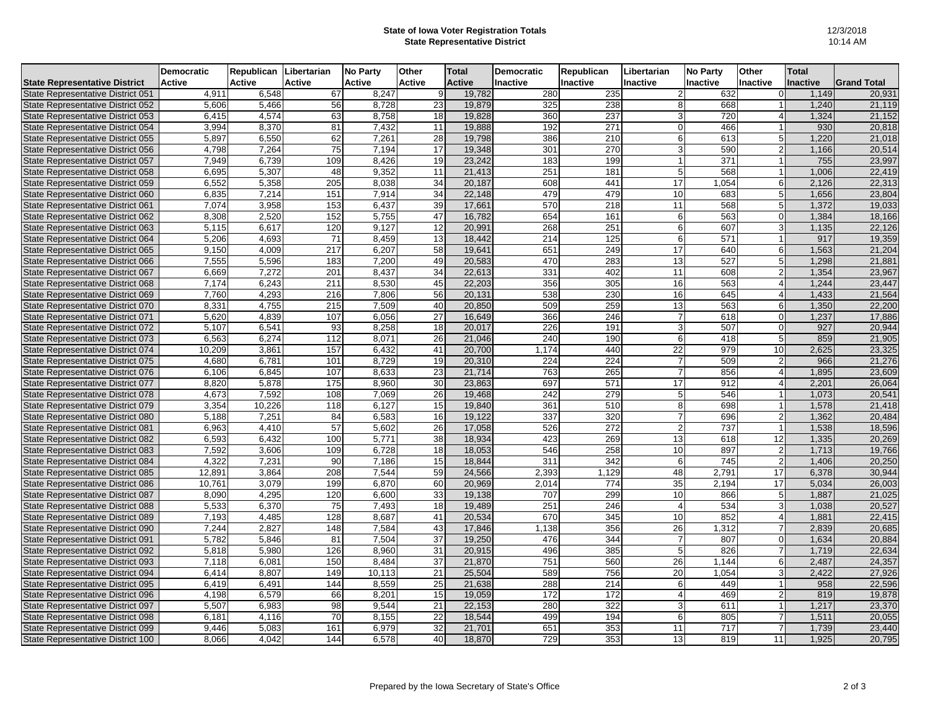## **State of Iowa Voter Registration Totals State Representative District**

|                                      | Democratic    | Republican    | Libertarian   | <b>No Party</b> | <b>Other</b>  | <b>Total</b>  | Democratic       | Republican       | Libertarian     | <b>No Party</b> | <b>Other</b>    | <b>Total</b> |                    |
|--------------------------------------|---------------|---------------|---------------|-----------------|---------------|---------------|------------------|------------------|-----------------|-----------------|-----------------|--------------|--------------------|
| <b>State Representative District</b> | <b>Active</b> | <b>Active</b> | <b>Active</b> | <b>Active</b>   | <b>Active</b> | <b>Active</b> | <b>Inactive</b>  | Inactive         | <b>Inactive</b> | <b>Inactive</b> | <b>Inactive</b> | Inactive     | <b>Grand Total</b> |
| State Representative District 051    | 4,911         | 6,548         | 67            | 8,247           | 9             | 19,782        | 280              | 235              |                 | 632             |                 | 1,149        | 20,931             |
| State Representative District 052    | 5,606         | 5,466         | 56            | 8,728           | 23            | 19,879        | 325              | 238              | 8               | 668             |                 | 1,240        | 21,119             |
| State Representative District 053    | 6,415         | 4,574         | 63            | 8,758           | 18            | 19,828        | 360              | 237              | 3               | 720             | Δ               | 1,324        | 21,152             |
| State Representative District 054    | 3,994         | 8,370         | 81            | 7,432           | 11            | 19,888        | 192              | 271              | U               | 466             |                 | 930          | 20,818             |
| State Representative District 055    | 5,897         | 6,550         | 62            | 7,261           | 28            | 19,798        | 386              | 210              | 6               | 613             |                 | 1,220        | 21,018             |
| State Representative District 056    | 4,798         | 7,264         | 75            | 7,194           | 17            | 19,348        | 301              | 270              | 3               | 590             | $\overline{2}$  | 1,166        | 20,514             |
| State Representative District 057    | 7,949         | 6,739         | 109           | 8,426           | 19            | 23,242        | 183              | 199              |                 | 371             |                 | 755          | 23,997             |
| State Representative District 058    | 6,695         | 5,307         | 48            | 9,352           | 11            | 21,413        | 251              | 181              |                 | 568             |                 | 1,006        | 22,419             |
| State Representative District 059    | 6,552         | 5,358         | 205           | 8,038           | 34            | 20,187        | 608              | 441              | 17              | 1,054           |                 | 2,126        | 22,313             |
| State Representative District 060    | 6,835         | 7,214         | 151           | 7,914           | 34            | 22,148        | 479              | 479              | 10              | 683             |                 | 1,656        | 23,804             |
| State Representative District 061    | 7,074         | 3,958         | 153           | 6,437           | 39            | 17,661        | 570              | 218              | 11              | 568             |                 | 1,372        | 19,033             |
| State Representative District 062    | 8,308         | 2,520         | 152           | 5,755           | 47            | 16,782        | 654              | 161              | 6               | 563             | $\Omega$        | 1,384        | 18,166             |
| State Representative District 063    | 5,115         | 6,617         | 120           | 9,127           | 12            | 20,991        | 268              | 251              | 6               | 607             | 3               | 1,135        | 22,126             |
| State Representative District 064    | 5,206         | 4,693         | 71            | 8,459           | 13            | 18,442        | 214              | 125              | 6               | 571             |                 | 917          | 19,359             |
| State Representative District 065    | 9,150         | 4,009         | 217           | 6,207           | 58            | 19,641        | 651              | 249              | 17              | 640             | 6               | 1,563        | 21,204             |
| State Representative District 066    | 7,555         | 5,596         | 183           | 7,200           | 49            | 20,583        | 470              | 283              | 13              | 527             | 5               | 1,298        | 21,881             |
| State Representative District 067    | 6,669         | 7,272         | 201           | 8,437           | 34            | 22,613        | 331              | 402              | 11              | 608             | $\overline{2}$  | 1,354        | 23,967             |
| State Representative District 068    | 7,174         | 6,243         | 211           | 8,530           | 45            | 22,203        | 356              | 305              | 16              | 563             |                 | 1,244        | 23,447             |
| State Representative District 069    | 7,760         | 4,293         | 216           | 7,806           | 56            | 20,131        | 538              | 230              | 16              | 645             | 4               | 1,433        | 21,564             |
| State Representative District 070    | 8,331         | 4,755         | 215           | 7,509           | 40            | 20,850        | 509              | 259              | 13              | 563             | 6               | 1,350        | 22,200             |
| State Representative District 071    | 5,620         | 4,839         | 107           | 6,056           | 27            | 16,649        | 366              | 246              |                 | 618             | $\Omega$        | 1,237        | 17,886             |
| State Representative District 072    | 5,107         | 6,541         | 93            | 8,258           | 18            | 20,017        | 226              | 191              | 3               | 507             | $\Omega$        | 927          | 20,944             |
| State Representative District 073    | 6,563         | 6,274         | 112           | 8,071           | 26            | 21,046        | 240              | 190              | 6               | 418             |                 | 859          | 21,905             |
| State Representative District 074    | 10,209        | 3,861         | 157           | 6,432           | 41            | 20,700        | 1,174            | 440              | 22              | 979             | 10              | 2,625        | 23,325             |
| State Representative District 075    | 4,680         | 6,781         | 101           | 8,729           | 19            | 20,310        | 224              | 224              |                 | 509             | $\overline{2}$  | 966          | 21,276             |
| State Representative District 076    | 6,106         | 6,845         | 107           | 8,633           | 23            | 21,714        | 763              | 265              |                 | 856             | 4               | 1,895        | 23,609             |
| State Representative District 077    | 8,820         | 5,878         | 175           | 8,960           | 30            | 23,863        | 697              | 571              | 17              | 912             | Δ               | 2,201        | 26,064             |
| State Representative District 078    | 4,673         | 7,592         | 108           | 7,069           | 26            | 19,468        | 242              | 279              | 5               | 546             |                 | 1,073        | 20,541             |
| State Representative District 079    | 3,354         | 10,226        | 118           | 6,127           | 15            | 19,840        | 361              | 510              | 8               | 698             |                 | 1,578        | 21,418             |
| State Representative District 080    | 5,188         | 7,251         | 84            | 6,583           | 16            | 19,122        | 337              | 320              |                 | 696             | $\overline{2}$  | 1,362        | 20,484             |
| State Representative District 081    | 6,963         | 4,410         | 57            | 5,602           | 26            | 17,058        | 526              | 272              | 2               | 737             |                 | 1,538        | 18,596             |
| State Representative District 082    | 6,593         | 6,432         | 100           | 5,771           | 38            | 18,934        | 423              | 269              | 13              | 618             | 12              | 1,335        | 20,269             |
| State Representative District 083    | 7,592         | 3,606         | 109           | 6,728           | 18            | 18,053        | 546              | 258              | 10              | 897             | 2               | 1,713        | 19,766             |
| State Representative District 084    | 4,322         | 7,231         | 90            | 7,186           | 15            | 18,844        | $\overline{311}$ | 342              | 6               | 745             | 21              | 1,406        | 20,250             |
| State Representative District 085    | 12,891        | 3,864         | 208           | 7,544           | 59            | 24,566        | 2,393            | 1,129            | 48              | 2,791           | 17              | 6,378        | 30,944             |
| State Representative District 086    | 10,761        | 3,079         | 199           | 6,870           | 60            | 20,969        | 2,014            | $\overline{774}$ | 35              | 2,194           | 17              | 5,034        | 26,003             |
| State Representative District 087    | 8,090         | 4,295         | 120           | 6,600           | 33            | 19,138        | 707              | 299              | 10              | 866             | 5               | 1,887        | 21,025             |
| State Representative District 088    | 5,533         | 6,370         | 75            | 7,493           | 18            | 19,489        | 251              | 246              |                 | 534             | $\overline{3}$  | 1,038        | 20,527             |
| State Representative District 089    | 7,193         | 4,485         | 128           | 8,687           | 41            | 20,534        | 670              | 345              | 10              | 852             | $\overline{4}$  | 1,881        | 22,415             |
| State Representative District 090    | 7,244         | 2,827         | 148           | 7,584           | 43            | 17,846        | 1,138            | 356              | 26              | 1,312           | $\overline{7}$  | 2,839        | 20,685             |
| State Representative District 091    | 5,782         | 5,846         | 81            | 7,504           | 37            | 19,250        | 476              | 344              |                 | 807             | $\Omega$        | 1,634        | 20,884             |
| State Representative District 092    | 5,818         | 5,980         | 126           | 8,960           | 31            | 20,915        | 496              | 385              | 5               | 826             | $\overline{7}$  | 1,719        | 22,634             |
| State Representative District 093    | 7,118         | 6,081         | 150           | 8,484           | 37            | 21,870        | 751              | 560              | 26              | 1,144           | 6               | 2,487        | 24,357             |
| State Representative District 094    | 6,414         | 8,807         | 149           | 10,113          | 21            | 25,504        | 589              | 756              | 20              | 1,054           | 3               | 2,422        | 27,926             |
| State Representative District 095    | 6,419         | 6,491         | 144           | 8,559           | 25            | 21,638        | 288              | 214              | 6               | 449             |                 | 958          | 22,596             |
| State Representative District 096    | 4,198         | 6,579         | 66            | 8,201           | 15            | 19,059        | 172              | 172              |                 | 469             | 2               | 819          | 19,878             |
| State Representative District 097    | 5,507         | 6,983         | 98            | 9,544           | 21            | 22,153        | 280              | 322              | 3               | 611             |                 | 1,217        | 23,370             |
| State Representative District 098    | 6,181         | 4,116         | 70            | 8,155           | 22            | 18,544        | 499              | 194              | 6               | 805             |                 | 1,511        | 20,055             |
| State Representative District 099    | 9,446         | 5,083         | 161           | 6,979           | 32            | 21,701        | 651              | 353              | 11              | 717             | $\overline{7}$  | 1,739        | 23,440             |
| State Representative District 100    | 8,066         | 4,042         | 144           | 6,578           | 40            | 18,870        | 729              | 353              | 13              | 819             | 11              | 1,925        | 20,795             |